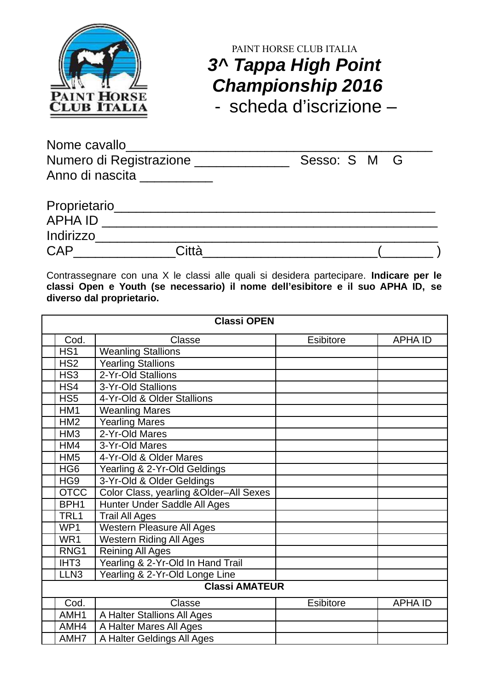

## PAINT HORSE CLUB ITALIA **3^ Tappa High Point Championship 2016**

- scheda d'iscrizione –

| Nome cavallo            |              |  |
|-------------------------|--------------|--|
| Numero di Registrazione | Sesso: S M G |  |
| Anno di nascita         |              |  |
|                         |              |  |

| Proprietario   |       |  |
|----------------|-------|--|
| <b>APHA ID</b> |       |  |
| Indirizzo      |       |  |
| <b>CAP</b>     | Città |  |

Contrassegnare con una X le classi alle quali si desidera partecipare. **Indicare per le classi Open e Youth (se necessario) il nome dell'esibitore e il suo APHA ID, se diverso dal proprietario.**

| <b>Classi OPEN</b>                 |                                                       |                                |                  |                |
|------------------------------------|-------------------------------------------------------|--------------------------------|------------------|----------------|
|                                    | Cod.                                                  | Classe                         | <b>Esibitore</b> | <b>APHA ID</b> |
|                                    | HS <sub>1</sub>                                       | <b>Weanling Stallions</b>      |                  |                |
|                                    | HS <sub>2</sub>                                       | Yearling Stallions             |                  |                |
|                                    | HS <sub>3</sub>                                       | 2-Yr-Old Stallions             |                  |                |
|                                    | HS4                                                   | 3-Yr-Old Stallions             |                  |                |
|                                    | HS <sub>5</sub>                                       | 4-Yr-Old & Older Stallions     |                  |                |
|                                    | HM1                                                   | <b>Weanling Mares</b>          |                  |                |
|                                    | <b>Yearling Mares</b><br>HM <sub>2</sub>              |                                |                  |                |
|                                    | HM <sub>3</sub>                                       | 2-Yr-Old Mares                 |                  |                |
|                                    | HM4                                                   | 3-Yr-Old Mares                 |                  |                |
|                                    | 4-Yr-Old & Older Mares<br>HM <sub>5</sub>             |                                |                  |                |
|                                    | HG <sub>6</sub>                                       | Yearling & 2-Yr-Old Geldings   |                  |                |
|                                    | HG9                                                   | 3-Yr-Old & Older Geldings      |                  |                |
|                                    | Color Class, yearling &Older-All Sexes<br><b>OTCC</b> |                                |                  |                |
|                                    | Hunter Under Saddle All Ages<br>BPH <sub>1</sub>      |                                |                  |                |
|                                    | <b>Trail All Ages</b><br>TRL1                         |                                |                  |                |
|                                    | <b>Western Pleasure All Ages</b><br>WP <sub>1</sub>   |                                |                  |                |
|                                    | <b>Western Riding All Ages</b><br>WR1                 |                                |                  |                |
|                                    | <b>Reining All Ages</b><br>RNG1                       |                                |                  |                |
|                                    | Yearling & 2-Yr-Old In Hand Trail<br>IHT <sub>3</sub> |                                |                  |                |
|                                    | LLN <sub>3</sub>                                      | Yearling & 2-Yr-Old Longe Line |                  |                |
| <b>Classi AMATEUR</b>              |                                                       |                                |                  |                |
|                                    | Cod.                                                  | Classe                         | <b>Esibitore</b> | <b>APHA ID</b> |
|                                    | AMH <sub>1</sub>                                      | A Halter Stallions All Ages    |                  |                |
|                                    | AMH4                                                  | A Halter Mares All Ages        |                  |                |
| A Halter Geldings All Ages<br>AMH7 |                                                       |                                |                  |                |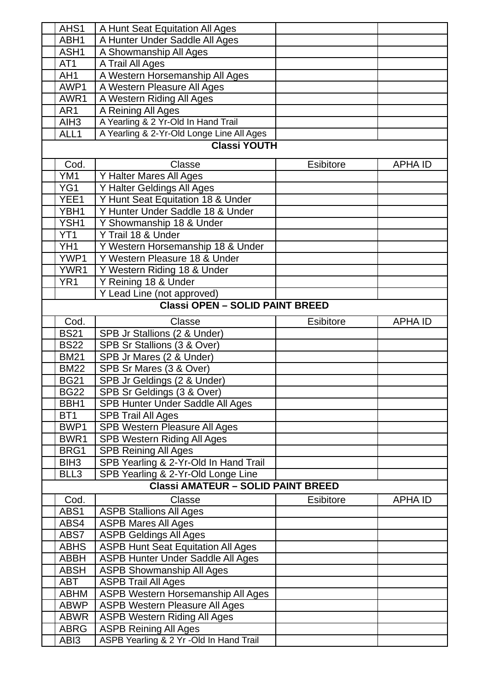| AHS1             | A Hunt Seat Equitation All Ages           |                  |                |
|------------------|-------------------------------------------|------------------|----------------|
| ABH1             | A Hunter Under Saddle All Ages            |                  |                |
| ASH1             | A Showmanship All Ages                    |                  |                |
| AT <sub>1</sub>  | A Trail All Ages                          |                  |                |
| AH <sub>1</sub>  | A Western Horsemanship All Ages           |                  |                |
| AWP1             | A Western Pleasure All Ages               |                  |                |
| AWR1             | A Western Riding All Ages                 |                  |                |
| AR <sub>1</sub>  | A Reining All Ages                        |                  |                |
| AIH <sub>3</sub> | A Yearling & 2 Yr-Old In Hand Trail       |                  |                |
| ALL1             | A Yearling & 2-Yr-Old Longe Line All Ages |                  |                |
|                  | <b>Classi YOUTH</b>                       |                  |                |
|                  |                                           |                  |                |
| Cod.             | Classe                                    | <b>Esibitore</b> | <b>APHA ID</b> |
| YM1              | Y Halter Mares All Ages                   |                  |                |
| YG1              | Y Halter Geldings All Ages                |                  |                |
| YEE1             | Y Hunt Seat Equitation 18 & Under         |                  |                |
| YBH1             | Y Hunter Under Saddle 18 & Under          |                  |                |
| YSH1             | Y Showmanship 18 & Under                  |                  |                |
| YT <sub>1</sub>  | Y Trail 18 & Under                        |                  |                |
| YH <sub>1</sub>  | Y Western Horsemanship 18 & Under         |                  |                |
| YWP1             | Y Western Pleasure 18 & Under             |                  |                |
| YWR1             | Y Western Riding 18 & Under               |                  |                |
| YR <sub>1</sub>  | Y Reining 18 & Under                      |                  |                |
|                  | Y Lead Line (not approved)                |                  |                |
|                  | <b>Classi OPEN - SOLID PAINT BREED</b>    |                  |                |
| Cod.             | Classe                                    | <b>Esibitore</b> | <b>APHA ID</b> |
| <b>BS21</b>      | SPB Jr Stallions (2 & Under)              |                  |                |
| <b>BS22</b>      | SPB Sr Stallions (3 & Over)               |                  |                |
| <b>BM21</b>      | SPB Jr Mares (2 & Under)                  |                  |                |
| <b>BM22</b>      | SPB Sr Mares (3 & Over)                   |                  |                |
| <b>BG21</b>      | SPB Jr Geldings (2 & Under)               |                  |                |
| <b>BG22</b>      | SPB Sr Geldings (3 & Over)                |                  |                |
| BBH1             | SPB Hunter Under Saddle All Ages          |                  |                |
| BT <sub>1</sub>  | <b>SPB Trail All Ages</b>                 |                  |                |
| BWP1             | SPB Western Pleasure All Ages             |                  |                |
| BWR1             | <b>SPB Western Riding All Ages</b>        |                  |                |
| BRG1             | <b>SPB Reining All Ages</b>               |                  |                |
| BIH <sub>3</sub> | SPB Yearling & 2-Yr-Old In Hand Trail     |                  |                |
| BLL3             | SPB Yearling & 2-Yr-Old Longe Line        |                  |                |
|                  | <b>Classi AMATEUR - SOLID PAINT BREED</b> |                  |                |
| Cod.             | Classe                                    | <b>Esibitore</b> | <b>APHA ID</b> |
| ABS1             | <b>ASPB Stallions All Ages</b>            |                  |                |
| ABS4             | <b>ASPB Mares All Ages</b>                |                  |                |
| ABS7             | <b>ASPB Geldings All Ages</b>             |                  |                |
| ABHS             | <b>ASPB Hunt Seat Equitation All Ages</b> |                  |                |
| <b>ABBH</b>      | <b>ASPB Hunter Under Saddle All Ages</b>  |                  |                |
| <b>ABSH</b>      | <b>ASPB Showmanship All Ages</b>          |                  |                |
| ABT              | <b>ASPB Trail All Ages</b>                |                  |                |
| <b>ABHM</b>      | ASPB Western Horsemanship All Ages        |                  |                |
| <b>ABWP</b>      | <b>ASPB Western Pleasure All Ages</b>     |                  |                |
| <b>ABWR</b>      | <b>ASPB Western Riding All Ages</b>       |                  |                |
| <b>ABRG</b>      | <b>ASPB Reining All Ages</b>              |                  |                |
| ABI3             | ASPB Yearling & 2 Yr -Old In Hand Trail   |                  |                |